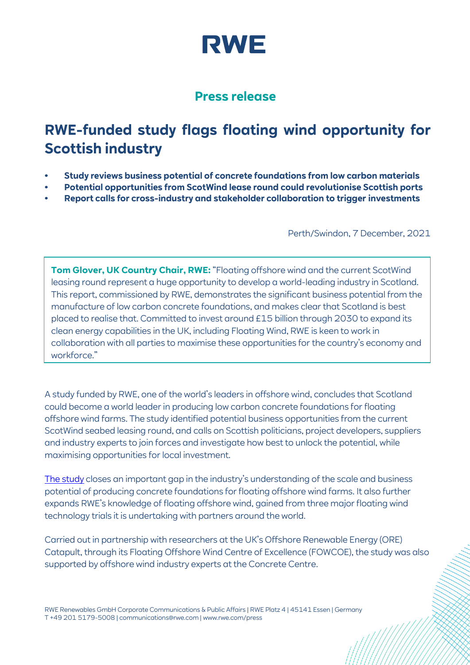

### **Press release**

## **RWE-funded study flags floating wind opportunity for Scottish industry**

- **• Study reviews business potential of concrete foundations from low carbon materials**
- **• Potential opportunities from ScotWind lease round could revolutionise Scottish ports**
- **• Report calls for cross-industry and stakeholder collaboration to trigger investments**

Perth/Swindon, 7 December, 2021

**Tom Glover, UK Country Chair, RWE:** "Floating offshore wind and the current ScotWind leasing round represent a huge opportunity to develop a world-leading industry in Scotland. This report, commissioned by RWE, demonstrates the significant business potential from the manufacture of low carbon concrete foundations, and makes clear that Scotland is best placed to realise that. Committed to invest around £15 billion through 2030 to expand its clean energy capabilities in the UK, including Floating Wind, RWE is keen to work in collaboration with all parties to maximise these opportunities for the country's economy and workforce."

A study funded by RWE, one of the world's leaders in offshore wind, concludes that Scotland could become a world leader in producing low carbon concrete foundations for floating offshore wind farms. The study identified potential business opportunities from the current ScotWind seabed leasing round, and calls on Scottish politicians, project developers, suppliers and industry experts to join forces and investigate how best to unlock the potential, while maximising opportunities for local investment.

[The study](https://ore.catapult.org.uk/?orecatapultreports=manufacturing-concrete-floating-wind-foundations-scotland) closes an important gap in the industry's understanding of the scale and business potential of producing concrete foundations for floating offshore wind farms. It also further expands RWE's knowledge of floating offshore wind, gained from three major floating wind technology trials it is undertaking with partners around the world.

Carried out in partnership with researchers at the UK's Offshore Renewable Energy (ORE) Catapult, through its Floating Offshore Wind Centre of Excellence (FOWCOE), the study was also supported by offshore wind industry experts at the Concrete Centre.

RWE Renewables GmbH Corporate Communications & Public Affairs | RWE Platz 4 | 45141 Essen | Germany T +49 201 5179-5008 | communications@rwe.com | www.rwe.com/press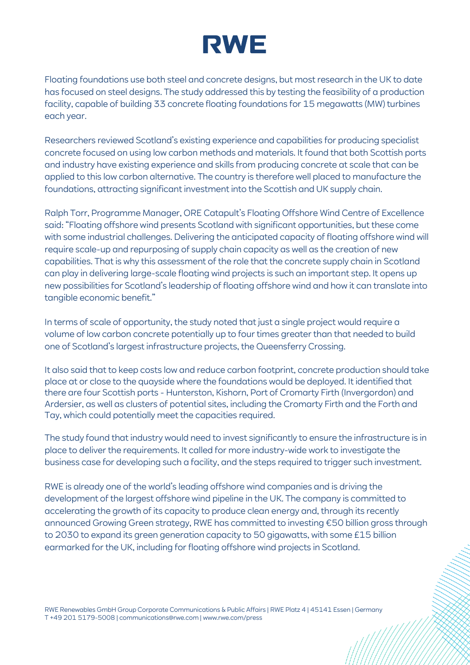# **RWE**

Floating foundations use both steel and concrete designs, but most research in the UK to date has focused on steel designs. The study addressed this by testing the feasibility of a production facility, capable of building 33 concrete floating foundations for 15 megawatts (MW) turbines each year.

Researchers reviewed Scotland's existing experience and capabilities for producing specialist concrete focused on using low carbon methods and materials. It found that both Scottish ports and industry have existing experience and skills from producing concrete at scale that can be applied to this low carbon alternative. The country is therefore well placed to manufacture the foundations, attracting significant investment into the Scottish and UK supply chain.

Ralph Torr, Programme Manager, ORE Catapult's Floating Offshore Wind Centre of Excellence said: "Floating offshore wind presents Scotland with significant opportunities, but these come with some industrial challenges. Delivering the anticipated capacity of floating offshore wind will require scale-up and repurposing of supply chain capacity as well as the creation of new capabilities. That is why this assessment of the role that the concrete supply chain in Scotland can play in delivering large-scale floating wind projects is such an important step. It opens up new possibilities for Scotland's leadership of floating offshore wind and how it can translate into tangible economic benefit."

In terms of scale of opportunity, the study noted that just a single project would require a volume of low carbon concrete potentially up to four times greater than that needed to build one of Scotland's largest infrastructure projects, the Queensferry Crossing.

It also said that to keep costs low and reduce carbon footprint, concrete production should take place at or close to the quayside where the foundations would be deployed. It identified that there are four Scottish ports - Hunterston, Kishorn, Port of Cromarty Firth (Invergordon) and Ardersier, as well as clusters of potential sites, including the Cromarty Firth and the Forth and Tay, which could potentially meet the capacities required.

The study found that industry would need to invest significantly to ensure the infrastructure is in place to deliver the requirements. It called for more industry-wide work to investigate the business case for developing such a facility, and the steps required to trigger such investment.

RWE is already one of the world's leading offshore wind companies and is driving the development of the largest offshore wind pipeline in the UK. The company is committed to accelerating the growth of its capacity to produce clean energy and, through its recently announced Growing Green strategy, RWE has committed to investing €50 billion gross through to 2030 to expand its green generation capacity to 50 gigawatts, with some £15 billion earmarked for the UK, including for floating offshore wind projects in Scotland.

RWE Renewables GmbH Group Corporate Communications & Public Affairs | RWE Platz 4 | 45141 Essen | Germany T +49 201 5179-5008 | communications@rwe.com | www.rwe.com/press